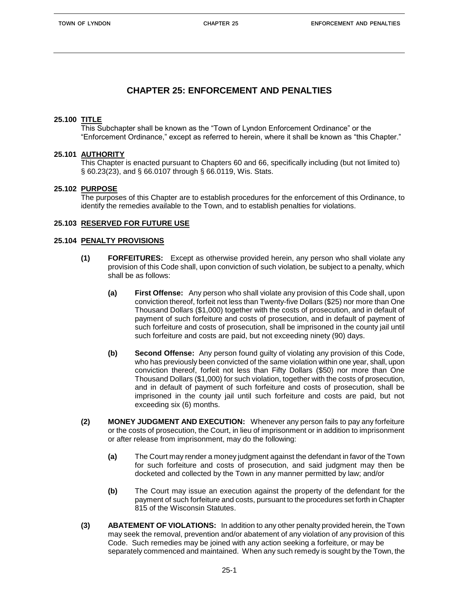# **CHAPTER 25: ENFORCEMENT AND PENALTIES**

# **25.100 TITLE**

This Subchapter shall be known as the "Town of Lyndon Enforcement Ordinance" or the "Enforcement Ordinance," except as referred to herein, where it shall be known as "this Chapter."

# **25.101 AUTHORITY**

This Chapter is enacted pursuant to Chapters 60 and 66, specifically including (but not limited to) § 60.23(23), and § 66.0107 through § 66.0119, Wis. Stats.

# **25.102 PURPOSE**

The purposes of this Chapter are to establish procedures for the enforcement of this Ordinance, to identify the remedies available to the Town, and to establish penalties for violations.

# **25.103 RESERVED FOR FUTURE USE**

## **25.104 PENALTY PROVISIONS**

- **(1) FORFEITURES:** Except as otherwise provided herein, any person who shall violate any provision of this Code shall, upon conviction of such violation, be subject to a penalty, which shall be as follows:
	- **(a) First Offense:** Any person who shall violate any provision of this Code shall, upon conviction thereof, forfeit not less than Twenty-five Dollars (\$25) nor more than One Thousand Dollars (\$1,000) together with the costs of prosecution, and in default of payment of such forfeiture and costs of prosecution, and in default of payment of such forfeiture and costs of prosecution, shall be imprisoned in the county jail until such forfeiture and costs are paid, but not exceeding ninety (90) days.
	- **(b) Second Offense:** Any person found guilty of violating any provision of this Code, who has previously been convicted of the same violation within one year, shall, upon conviction thereof, forfeit not less than Fifty Dollars (\$50) nor more than One Thousand Dollars (\$1,000) for such violation, together with the costs of prosecution, and in default of payment of such forfeiture and costs of prosecution, shall be imprisoned in the county jail until such forfeiture and costs are paid, but not exceeding six (6) months.
- **(2) MONEY JUDGMENT AND EXECUTION:** Whenever any person fails to pay any forfeiture or the costs of prosecution, the Court, in lieu of imprisonment or in addition to imprisonment or after release from imprisonment, may do the following:
	- **(a)** The Court may render a money judgment against the defendant in favor of the Town for such forfeiture and costs of prosecution, and said judgment may then be docketed and collected by the Town in any manner permitted by law; and/or
	- **(b)** The Court may issue an execution against the property of the defendant for the payment of such forfeiture and costs, pursuant to the procedures set forth in Chapter 815 of the Wisconsin Statutes.
- **(3) ABATEMENT OF VIOLATIONS:** In addition to any other penalty provided herein, the Town may seek the removal, prevention and/or abatement of any violation of any provision of this Code. Such remedies may be joined with any action seeking a forfeiture, or may be separately commenced and maintained. When any such remedy is sought by the Town, the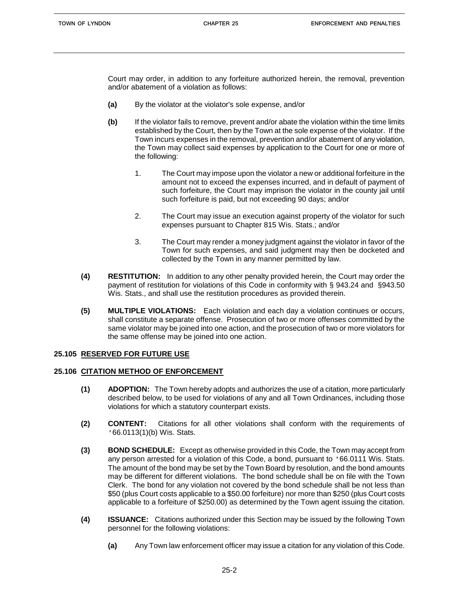Court may order, in addition to any forfeiture authorized herein, the removal, prevention and/or abatement of a violation as follows:

- **(a)** By the violator at the violator's sole expense, and/or
- **(b)** If the violator fails to remove, prevent and/or abate the violation within the time limits established by the Court, then by the Town at the sole expense of the violator. If the Town incurs expenses in the removal, prevention and/or abatement of any violation, the Town may collect said expenses by application to the Court for one or more of the following:
	- 1. The Court may impose upon the violator a new or additional forfeiture in the amount not to exceed the expenses incurred, and in default of payment of such forfeiture, the Court may imprison the violator in the county jail until such forfeiture is paid, but not exceeding 90 days; and/or
	- 2. The Court may issue an execution against property of the violator for such expenses pursuant to Chapter 815 Wis. Stats.; and/or
	- 3. The Court may render a money judgment against the violator in favor of the Town for such expenses, and said judgment may then be docketed and collected by the Town in any manner permitted by law.
- **(4) RESTITUTION:** In addition to any other penalty provided herein, the Court may order the payment of restitution for violations of this Code in conformity with § 943.24 and §943.50 Wis. Stats., and shall use the restitution procedures as provided therein.
- **(5) MULTIPLE VIOLATIONS:** Each violation and each day a violation continues or occurs, shall constitute a separate offense. Prosecution of two or more offenses committed by the same violator may be joined into one action, and the prosecution of two or more violators for the same offense may be joined into one action.

# **25.105 RESERVED FOR FUTURE USE**

#### **25.106 CITATION METHOD OF ENFORCEMENT**

- **(1) ADOPTION:** The Town hereby adopts and authorizes the use of a citation, more particularly described below, to be used for violations of any and all Town Ordinances, including those violations for which a statutory counterpart exists.
- **(2) CONTENT:** Citations for all other violations shall conform with the requirements of '66.0113(1)(b) Wis. Stats.
- **(3) BOND SCHEDULE:** Except as otherwise provided in this Code, the Town may accept from any person arrested for a violation of this Code, a bond, pursuant to '66.0111 Wis. Stats. The amount of the bond may be set by the Town Board by resolution, and the bond amounts may be different for different violations. The bond schedule shall be on file with the Town Clerk. The bond for any violation not covered by the bond schedule shall be not less than \$50 (plus Court costs applicable to a \$50.00 forfeiture) nor more than \$250 (plus Court costs applicable to a forfeiture of \$250.00) as determined by the Town agent issuing the citation.
- **(4) ISSUANCE:** Citations authorized under this Section may be issued by the following Town personnel for the following violations:
	- **(a)** Any Town law enforcement officer may issue a citation for any violation of this Code.